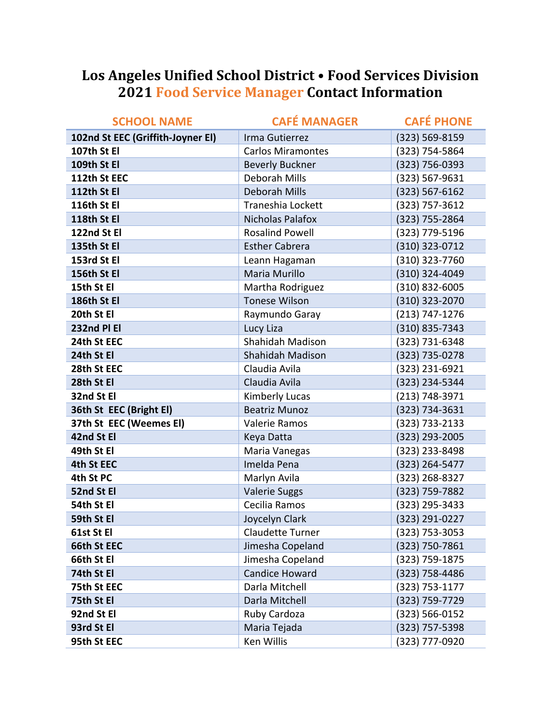## Los Angeles Unified School District . Food Services Division **2021 Food Service Manager Contact Information**

| <b>SCHOOL NAME</b>                | <b>CAFÉ MANAGER</b>      | <b>CAFÉ PHONE</b>  |
|-----------------------------------|--------------------------|--------------------|
| 102nd St EEC (Griffith-Joyner El) | Irma Gutierrez           | (323) 569-8159     |
| 107th St El                       | <b>Carlos Miramontes</b> | (323) 754-5864     |
| 109th St El                       | <b>Beverly Buckner</b>   | (323) 756-0393     |
| 112th St EEC                      | Deborah Mills            | (323) 567-9631     |
| 112th St El                       | Deborah Mills            | $(323) 567 - 6162$ |
| 116th St El                       | Traneshia Lockett        | (323) 757-3612     |
| 118th St El                       | Nicholas Palafox         | (323) 755-2864     |
| 122nd St El                       | <b>Rosalind Powell</b>   | (323) 779-5196     |
| 135th St El                       | <b>Esther Cabrera</b>    | (310) 323-0712     |
| 153rd St El                       | Leann Hagaman            | (310) 323-7760     |
| 156th St El                       | Maria Murillo            | (310) 324-4049     |
| 15th St El                        | Martha Rodriguez         | (310) 832-6005     |
| 186th St El                       | <b>Tonese Wilson</b>     | (310) 323-2070     |
| 20th St El                        | Raymundo Garay           | (213) 747-1276     |
| 232nd PI EI                       | Lucy Liza                | (310) 835-7343     |
| 24th St EEC                       | Shahidah Madison         | (323) 731-6348     |
| 24th St El                        | Shahidah Madison         | (323) 735-0278     |
| 28th St EEC                       | Claudia Avila            | (323) 231-6921     |
| 28th St El                        | Claudia Avila            | (323) 234-5344     |
| 32nd St El                        | Kimberly Lucas           | (213) 748-3971     |
| 36th St EEC (Bright El)           | <b>Beatriz Munoz</b>     | (323) 734-3631     |
| 37th St EEC (Weemes El)           | Valerie Ramos            | (323) 733-2133     |
| 42nd St El                        | Keya Datta               | (323) 293-2005     |
| 49th St El                        | Maria Vanegas            | (323) 233-8498     |
| 4th St EEC                        | Imelda Pena              | (323) 264-5477     |
| 4th St PC                         | Marlyn Avila             | (323) 268-8327     |
| 52nd St El                        | <b>Valerie Suggs</b>     | (323) 759-7882     |
| 54th St El                        | Cecilia Ramos            | (323) 295-3433     |
| 59th St El                        | Joycelyn Clark           | (323) 291-0227     |
| 61st St El                        | <b>Claudette Turner</b>  | (323) 753-3053     |
| 66th St EEC                       | Jimesha Copeland         | (323) 750-7861     |
| 66th St El                        | Jimesha Copeland         | (323) 759-1875     |
| 74th St El                        | <b>Candice Howard</b>    | (323) 758-4486     |
| 75th St EEC                       | Darla Mitchell           | (323) 753-1177     |
| 75th St El                        | Darla Mitchell           | (323) 759-7729     |
| 92nd St El                        | Ruby Cardoza             | (323) 566-0152     |
| 93rd St El                        | Maria Tejada             | (323) 757-5398     |
| 95th St EEC                       | Ken Willis               | (323) 777-0920     |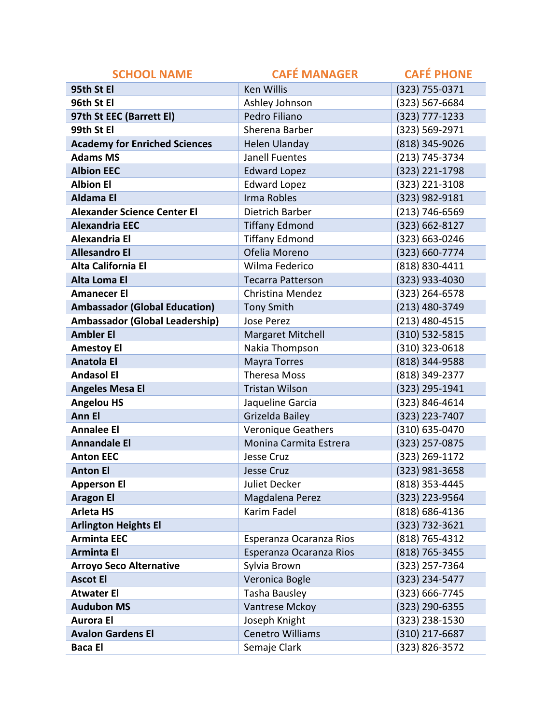| <b>SCHOOL NAME</b>                    | <b>CAFÉ MANAGER</b>       | <b>CAFÉ PHONE</b> |
|---------------------------------------|---------------------------|-------------------|
| 95th St El                            | <b>Ken Willis</b>         | (323) 755-0371    |
| 96th St El                            | Ashley Johnson            | (323) 567-6684    |
| 97th St EEC (Barrett El)              | Pedro Filiano             | (323) 777-1233    |
| 99th St El                            | Sherena Barber            | (323) 569-2971    |
| <b>Academy for Enriched Sciences</b>  | <b>Helen Ulanday</b>      | (818) 345-9026    |
| <b>Adams MS</b>                       | Janell Fuentes            | (213) 745-3734    |
| <b>Albion EEC</b>                     | <b>Edward Lopez</b>       | (323) 221-1798    |
| <b>Albion El</b>                      | <b>Edward Lopez</b>       | (323) 221-3108    |
| <b>Aldama El</b>                      | Irma Robles               | (323) 982-9181    |
| <b>Alexander Science Center El</b>    | Dietrich Barber           | (213) 746-6569    |
| <b>Alexandria EEC</b>                 | <b>Tiffany Edmond</b>     | (323) 662-8127    |
| <b>Alexandria El</b>                  | <b>Tiffany Edmond</b>     | (323) 663-0246    |
| <b>Allesandro El</b>                  | Ofelia Moreno             | (323) 660-7774    |
| Alta California El                    | Wilma Federico            | (818) 830-4411    |
| Alta Loma El                          | <b>Tecarra Patterson</b>  | (323) 933-4030    |
| <b>Amanecer El</b>                    | Christina Mendez          | (323) 264-6578    |
| <b>Ambassador (Global Education)</b>  | <b>Tony Smith</b>         | (213) 480-3749    |
| <b>Ambassador (Global Leadership)</b> | Jose Perez                | (213) 480-4515    |
| <b>Ambler El</b>                      | Margaret Mitchell         | (310) 532-5815    |
| <b>Amestoy El</b>                     | Nakia Thompson            | (310) 323-0618    |
| <b>Anatola El</b>                     | <b>Mayra Torres</b>       | (818) 344-9588    |
| <b>Andasol El</b>                     | <b>Theresa Moss</b>       | (818) 349-2377    |
| <b>Angeles Mesa El</b>                | <b>Tristan Wilson</b>     | (323) 295-1941    |
| <b>Angelou HS</b>                     | Jaqueline Garcia          | (323) 846-4614    |
| <b>Ann El</b>                         | Grizelda Bailey           | (323) 223-7407    |
| <b>Annalee El</b>                     | <b>Veronique Geathers</b> | (310) 635-0470    |
| <b>Annandale El</b>                   | Monina Carmita Estrera    | (323) 257-0875    |
| <b>Anton EEC</b>                      | Jesse Cruz                | (323) 269-1172    |
| <b>Anton El</b>                       | <b>Jesse Cruz</b>         | (323) 981-3658    |
| <b>Apperson El</b>                    | Juliet Decker             | (818) 353-4445    |
| <b>Aragon El</b>                      | Magdalena Perez           | (323) 223-9564    |
| <b>Arleta HS</b>                      | <b>Karim Fadel</b>        | (818) 686-4136    |
| <b>Arlington Heights El</b>           |                           | (323) 732-3621    |
| <b>Arminta EEC</b>                    | Esperanza Ocaranza Rios   | (818) 765-4312    |
| <b>Arminta El</b>                     | Esperanza Ocaranza Rios   | (818) 765-3455    |
| <b>Arroyo Seco Alternative</b>        | Sylvia Brown              | (323) 257-7364    |
| <b>Ascot El</b>                       | Veronica Bogle            | (323) 234-5477    |
| <b>Atwater El</b>                     | Tasha Bausley             | (323) 666-7745    |
| <b>Audubon MS</b>                     | Vantrese Mckoy            | (323) 290-6355    |
| <b>Aurora El</b>                      | Joseph Knight             | (323) 238-1530    |
| <b>Avalon Gardens El</b>              | Cenetro Williams          | (310) 217-6687    |
| <b>Baca El</b>                        | Semaje Clark              | (323) 826-3572    |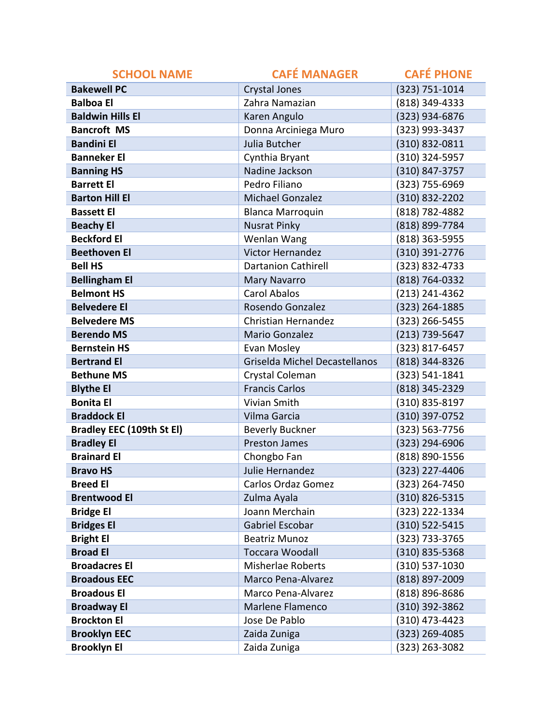| <b>SCHOOL NAME</b>               | <b>CAFÉ MANAGER</b>           | <b>CAFÉ PHONE</b> |
|----------------------------------|-------------------------------|-------------------|
| <b>Bakewell PC</b>               | <b>Crystal Jones</b>          | (323) 751-1014    |
| <b>Balboa El</b>                 | Zahra Namazian                | (818) 349-4333    |
| <b>Baldwin Hills El</b>          | Karen Angulo                  | (323) 934-6876    |
| <b>Bancroft MS</b>               | Donna Arciniega Muro          | (323) 993-3437    |
| <b>Bandini El</b>                | Julia Butcher                 | (310) 832-0811    |
| <b>Banneker El</b>               | Cynthia Bryant                | (310) 324-5957    |
| <b>Banning HS</b>                | Nadine Jackson                | (310) 847-3757    |
| <b>Barrett El</b>                | Pedro Filiano                 | (323) 755-6969    |
| <b>Barton Hill El</b>            | <b>Michael Gonzalez</b>       | (310) 832-2202    |
| <b>Bassett El</b>                | <b>Blanca Marroquin</b>       | (818) 782-4882    |
| <b>Beachy El</b>                 | <b>Nusrat Pinky</b>           | (818) 899-7784    |
| <b>Beckford El</b>               | Wenlan Wang                   | (818) 363-5955    |
| <b>Beethoven El</b>              | <b>Victor Hernandez</b>       | (310) 391-2776    |
| <b>Bell HS</b>                   | <b>Dartanion Cathirell</b>    | (323) 832-4733    |
| <b>Bellingham El</b>             | <b>Mary Navarro</b>           | (818) 764-0332    |
| <b>Belmont HS</b>                | <b>Carol Abalos</b>           | (213) 241-4362    |
| <b>Belvedere El</b>              | Rosendo Gonzalez              | (323) 264-1885    |
| <b>Belvedere MS</b>              | Christian Hernandez           | (323) 266-5455    |
| <b>Berendo MS</b>                | Mario Gonzalez                | (213) 739-5647    |
| <b>Bernstein HS</b>              | Evan Mosley                   | (323) 817-6457    |
| <b>Bertrand El</b>               | Griselda Michel Decastellanos | (818) 344-8326    |
| <b>Bethune MS</b>                | Crystal Coleman               | (323) 541-1841    |
| <b>Blythe El</b>                 | <b>Francis Carlos</b>         | (818) 345-2329    |
| <b>Bonita El</b>                 | Vivian Smith                  | (310) 835-8197    |
| <b>Braddock El</b>               | Vilma Garcia                  | (310) 397-0752    |
| <b>Bradley EEC (109th St El)</b> | <b>Beverly Buckner</b>        | (323) 563-7756    |
| <b>Bradley El</b>                | <b>Preston James</b>          | (323) 294-6906    |
| <b>Brainard El</b>               | Chongbo Fan                   | (818) 890-1556    |
| <b>Bravo HS</b>                  | Julie Hernandez               | (323) 227-4406    |
| <b>Breed El</b>                  | Carlos Ordaz Gomez            | (323) 264-7450    |
| <b>Brentwood El</b>              | Zulma Ayala                   | (310) 826-5315    |
| <b>Bridge El</b>                 | Joann Merchain                | (323) 222-1334    |
| <b>Bridges El</b>                | Gabriel Escobar               | (310) 522-5415    |
| <b>Bright El</b>                 | <b>Beatriz Munoz</b>          | (323) 733-3765    |
| <b>Broad El</b>                  | <b>Toccara Woodall</b>        | (310) 835-5368    |
| <b>Broadacres El</b>             | <b>Misherlae Roberts</b>      | (310) 537-1030    |
| <b>Broadous EEC</b>              | Marco Pena-Alvarez            | (818) 897-2009    |
| <b>Broadous El</b>               | Marco Pena-Alvarez            | (818) 896-8686    |
| <b>Broadway El</b>               | Marlene Flamenco              | (310) 392-3862    |
| <b>Brockton El</b>               | Jose De Pablo                 | (310) 473-4423    |
| <b>Brooklyn EEC</b>              | Zaida Zuniga                  | (323) 269-4085    |
| <b>Brooklyn El</b>               | Zaida Zuniga                  | (323) 263-3082    |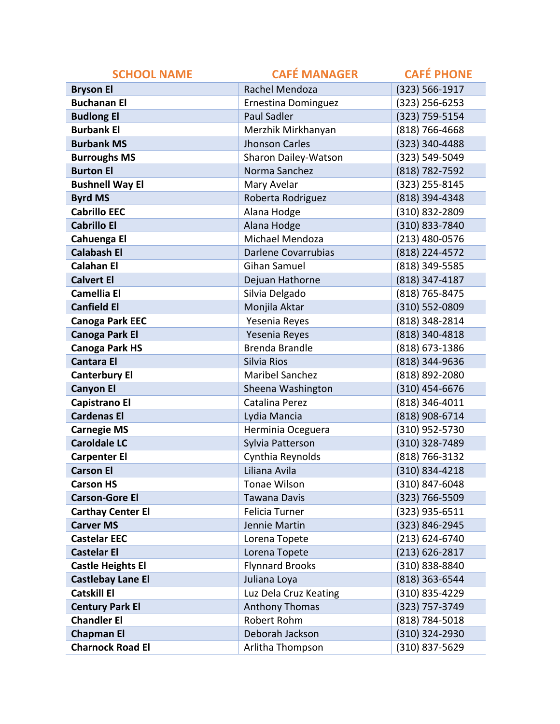| <b>SCHOOL NAME</b>       | <b>CAFÉ MANAGER</b>        | <b>CAFÉ PHONE</b>  |
|--------------------------|----------------------------|--------------------|
| <b>Bryson El</b>         | Rachel Mendoza             | (323) 566-1917     |
| <b>Buchanan El</b>       | <b>Ernestina Dominguez</b> | $(323)$ 256-6253   |
| <b>Budlong El</b>        | <b>Paul Sadler</b>         | (323) 759-5154     |
| <b>Burbank El</b>        | Merzhik Mirkhanyan         | $(818)$ 766-4668   |
| <b>Burbank MS</b>        | <b>Jhonson Carles</b>      | (323) 340-4488     |
| <b>Burroughs MS</b>      | Sharon Dailey-Watson       | (323) 549-5049     |
| <b>Burton El</b>         | Norma Sanchez              | (818) 782-7592     |
| <b>Bushnell Way El</b>   | Mary Avelar                | (323) 255-8145     |
| <b>Byrd MS</b>           | Roberta Rodriguez          | (818) 394-4348     |
| <b>Cabrillo EEC</b>      | Alana Hodge                | (310) 832-2809     |
| <b>Cabrillo El</b>       | Alana Hodge                | (310) 833-7840     |
| Cahuenga El              | Michael Mendoza            | $(213)$ 480-0576   |
| <b>Calabash El</b>       | <b>Darlene Covarrubias</b> | (818) 224-4572     |
| <b>Calahan El</b>        | Gihan Samuel               | (818) 349-5585     |
| <b>Calvert El</b>        | Dejuan Hathorne            | (818) 347-4187     |
| <b>Camellia El</b>       | Silvia Delgado             | (818) 765-8475     |
| <b>Canfield El</b>       | Monjila Aktar              | (310) 552-0809     |
| <b>Canoga Park EEC</b>   | Yesenia Reyes              | (818) 348-2814     |
| <b>Canoga Park El</b>    | Yesenia Reyes              | (818) 340-4818     |
| <b>Canoga Park HS</b>    | <b>Brenda Brandle</b>      | (818) 673-1386     |
| <b>Cantara El</b>        | Silvia Rios                | (818) 344-9636     |
| <b>Canterbury El</b>     | <b>Maribel Sanchez</b>     | (818) 892-2080     |
| <b>Canyon El</b>         | Sheena Washington          | $(310)$ 454-6676   |
| Capistrano El            | Catalina Perez             | (818) 346-4011     |
| <b>Cardenas El</b>       | Lydia Mancia               | (818) 908-6714     |
| <b>Carnegie MS</b>       | Herminia Oceguera          | (310) 952-5730     |
| <b>Caroldale LC</b>      | Sylvia Patterson           | (310) 328-7489     |
| <b>Carpenter El</b>      | Cynthia Reynolds           | (818) 766-3132     |
| <b>Carson El</b>         | Liliana Avila              | (310) 834-4218     |
| <b>Carson HS</b>         | Tonae Wilson               | (310) 847-6048     |
| <b>Carson-Gore El</b>    | <b>Tawana Davis</b>        | (323) 766-5509     |
| <b>Carthay Center El</b> | Felicia Turner             | $(323)$ 935-6511   |
| <b>Carver MS</b>         | Jennie Martin              | (323) 846-2945     |
| <b>Castelar EEC</b>      | Lorena Topete              | $(213) 624 - 6740$ |
| <b>Castelar El</b>       | Lorena Topete              | $(213) 626 - 2817$ |
| <b>Castle Heights El</b> | <b>Flynnard Brooks</b>     | (310) 838-8840     |
| <b>Castlebay Lane El</b> | Juliana Loya               | (818) 363-6544     |
| <b>Catskill El</b>       | Luz Dela Cruz Keating      | (310) 835-4229     |
| <b>Century Park El</b>   | <b>Anthony Thomas</b>      | (323) 757-3749     |
| <b>Chandler El</b>       | Robert Rohm                | (818) 784-5018     |
| <b>Chapman El</b>        | Deborah Jackson            | (310) 324-2930     |
| <b>Charnock Road El</b>  | Arlitha Thompson           | (310) 837-5629     |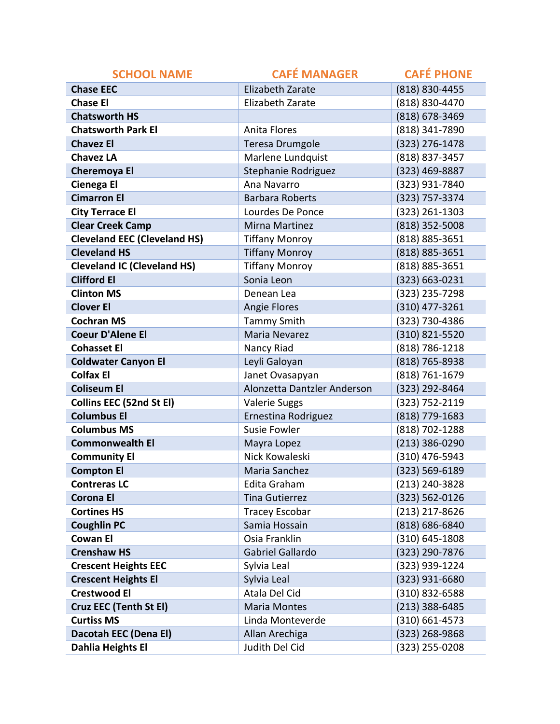| <b>SCHOOL NAME</b>                  | <b>CAFÉ MANAGER</b>         | <b>CAFÉ PHONE</b>  |
|-------------------------------------|-----------------------------|--------------------|
| <b>Chase EEC</b>                    | <b>Elizabeth Zarate</b>     | (818) 830-4455     |
| <b>Chase El</b>                     | <b>Elizabeth Zarate</b>     | (818) 830-4470     |
| <b>Chatsworth HS</b>                |                             | (818) 678-3469     |
| <b>Chatsworth Park El</b>           | <b>Anita Flores</b>         | (818) 341-7890     |
| <b>Chavez El</b>                    | <b>Teresa Drumgole</b>      | (323) 276-1478     |
| <b>Chavez LA</b>                    | Marlene Lundquist           | (818) 837-3457     |
| <b>Cheremoya El</b>                 | Stephanie Rodriguez         | (323) 469-8887     |
| Cienega El                          | Ana Navarro                 | (323) 931-7840     |
| <b>Cimarron El</b>                  | <b>Barbara Roberts</b>      | (323) 757-3374     |
| <b>City Terrace El</b>              | Lourdes De Ponce            | (323) 261-1303     |
| <b>Clear Creek Camp</b>             | Mirna Martinez              | (818) 352-5008     |
| <b>Cleveland EEC (Cleveland HS)</b> | <b>Tiffany Monroy</b>       | (818) 885-3651     |
| <b>Cleveland HS</b>                 | <b>Tiffany Monroy</b>       | (818) 885-3651     |
| <b>Cleveland IC (Cleveland HS)</b>  | <b>Tiffany Monroy</b>       | (818) 885-3651     |
| <b>Clifford El</b>                  | Sonia Leon                  | (323) 663-0231     |
| <b>Clinton MS</b>                   | Denean Lea                  | (323) 235-7298     |
| <b>Clover El</b>                    | <b>Angie Flores</b>         | (310) 477-3261     |
| <b>Cochran MS</b>                   | <b>Tammy Smith</b>          | (323) 730-4386     |
| <b>Coeur D'Alene El</b>             | Maria Nevarez               | (310) 821-5520     |
| <b>Cohasset El</b>                  | Nancy Riad                  | (818) 786-1218     |
| <b>Coldwater Canyon El</b>          | Leyli Galoyan               | (818) 765-8938     |
| <b>Colfax El</b>                    | Janet Ovasapyan             | (818) 761-1679     |
| <b>Coliseum El</b>                  | Alonzetta Dantzler Anderson | (323) 292-8464     |
| <b>Collins EEC (52nd St El)</b>     | <b>Valerie Suggs</b>        | (323) 752-2119     |
| <b>Columbus El</b>                  | Ernestina Rodriguez         | (818) 779-1683     |
| <b>Columbus MS</b>                  | <b>Susie Fowler</b>         | (818) 702-1288     |
| <b>Commonwealth El</b>              | Mayra Lopez                 | (213) 386-0290     |
| <b>Community El</b>                 | Nick Kowaleski              | (310) 476-5943     |
| <b>Compton El</b>                   | Maria Sanchez               | (323) 569-6189     |
| <b>Contreras LC</b>                 | Edita Graham                | (213) 240-3828     |
| <b>Corona El</b>                    | <b>Tina Gutierrez</b>       | (323) 562-0126     |
| <b>Cortines HS</b>                  | <b>Tracey Escobar</b>       | $(213)$ 217-8626   |
| <b>Coughlin PC</b>                  | Samia Hossain               | (818) 686-6840     |
| <b>Cowan El</b>                     | Osia Franklin               | $(310) 645 - 1808$ |
| <b>Crenshaw HS</b>                  | Gabriel Gallardo            | (323) 290-7876     |
| <b>Crescent Heights EEC</b>         | Sylvia Leal                 | (323) 939-1224     |
| <b>Crescent Heights El</b>          | Sylvia Leal                 | (323) 931-6680     |
| <b>Crestwood El</b>                 | Atala Del Cid               | (310) 832-6588     |
| Cruz EEC (Tenth St El)              | <b>Maria Montes</b>         | $(213)$ 388-6485   |
| <b>Curtiss MS</b>                   | Linda Monteverde            | $(310) 661 - 4573$ |
| Dacotah EEC (Dena El)               | Allan Arechiga              | (323) 268-9868     |
| Dahlia Heights El                   | Judith Del Cid              | (323) 255-0208     |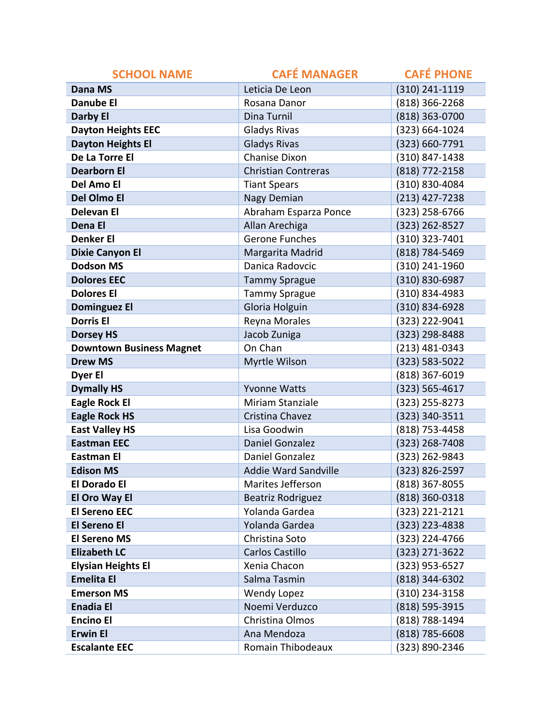| <b>SCHOOL NAME</b>              | <b>CAFÉ MANAGER</b>        | <b>CAFÉ PHONE</b>  |
|---------------------------------|----------------------------|--------------------|
| <b>Dana MS</b>                  | Leticia De Leon            | (310) 241-1119     |
| Danube El                       | Rosana Danor               | (818) 366-2268     |
| <b>Darby El</b>                 | Dina Turnil                | (818) 363-0700     |
| <b>Dayton Heights EEC</b>       | <b>Gladys Rivas</b>        | (323) 664-1024     |
| <b>Dayton Heights El</b>        | <b>Gladys Rivas</b>        | (323) 660-7791     |
| De La Torre El                  | <b>Chanise Dixon</b>       | (310) 847-1438     |
| <b>Dearborn El</b>              | <b>Christian Contreras</b> | (818) 772-2158     |
| Del Amo El                      | <b>Tiant Spears</b>        | (310) 830-4084     |
| Del Olmo El                     | Nagy Demian                | $(213)$ 427-7238   |
| <b>Delevan El</b>               | Abraham Esparza Ponce      | (323) 258-6766     |
| Dena El                         | Allan Arechiga             | (323) 262-8527     |
| <b>Denker El</b>                | Gerone Funches             | (310) 323-7401     |
| <b>Dixie Canyon El</b>          | Margarita Madrid           | (818) 784-5469     |
| <b>Dodson MS</b>                | Danica Radovcic            | (310) 241-1960     |
| <b>Dolores EEC</b>              | <b>Tammy Sprague</b>       | (310) 830-6987     |
| <b>Dolores El</b>               | <b>Tammy Sprague</b>       | (310) 834-4983     |
| <b>Dominguez El</b>             | Gloria Holguin             | (310) 834-6928     |
| <b>Dorris El</b>                | Reyna Morales              | (323) 222-9041     |
| <b>Dorsey HS</b>                | Jacob Zuniga               | (323) 298-8488     |
| <b>Downtown Business Magnet</b> | On Chan                    | (213) 481-0343     |
| <b>Drew MS</b>                  | Myrtle Wilson              | (323) 583-5022     |
| Dyer El                         |                            | (818) 367-6019     |
| <b>Dymally HS</b>               | <b>Yvonne Watts</b>        | $(323) 565 - 4617$ |
| <b>Eagle Rock El</b>            | Miriam Stanziale           | (323) 255-8273     |
| <b>Eagle Rock HS</b>            | Cristina Chavez            | (323) 340-3511     |
| <b>East Valley HS</b>           | Lisa Goodwin               | (818) 753-4458     |
| <b>Eastman EEC</b>              | Daniel Gonzalez            | (323) 268-7408     |
| Eastman El                      | Daniel Gonzalez            | (323) 262-9843     |
| <b>Edison MS</b>                | Addie Ward Sandville       | (323) 826-2597     |
| <b>El Dorado El</b>             | Marites Jefferson          | $(818)$ 367-8055   |
| El Oro Way El                   | <b>Beatriz Rodriguez</b>   | (818) 360-0318     |
| <b>El Sereno EEC</b>            | Yolanda Gardea             | $(323)$ 221-2121   |
| <b>El Sereno El</b>             | Yolanda Gardea             | (323) 223-4838     |
| <b>El Sereno MS</b>             | Christina Soto             | (323) 224-4766     |
| <b>Elizabeth LC</b>             | Carlos Castillo            | $(323)$ 271-3622   |
| <b>Elysian Heights El</b>       | Xenia Chacon               | (323) 953-6527     |
| <b>Emelita El</b>               | Salma Tasmin               | (818) 344-6302     |
| <b>Emerson MS</b>               | <b>Wendy Lopez</b>         | (310) 234-3158     |
| <b>Enadia El</b>                | Noemi Verduzco             | (818) 595-3915     |
| <b>Encino El</b>                | Christina Olmos            | (818) 788-1494     |
| <b>Erwin El</b>                 | Ana Mendoza                | $(818)$ 785-6608   |
| <b>Escalante EEC</b>            | Romain Thibodeaux          | (323) 890-2346     |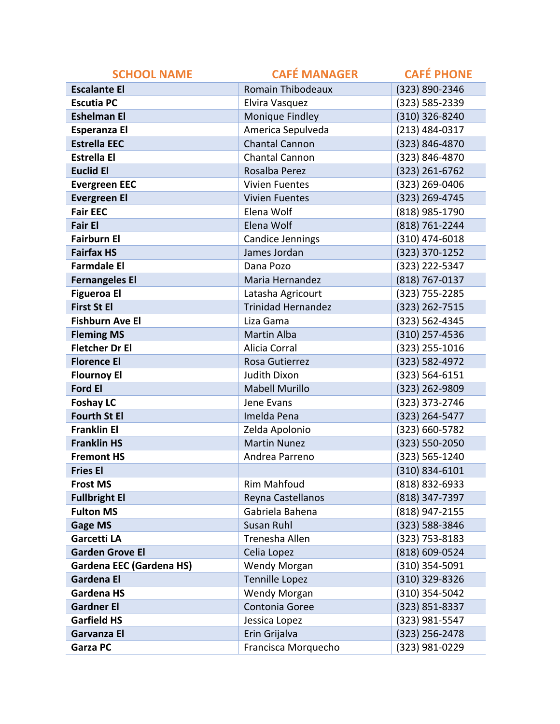| <b>SCHOOL NAME</b>              | <b>CAFÉ MANAGER</b>       | <b>CAFÉ PHONE</b> |
|---------------------------------|---------------------------|-------------------|
| <b>Escalante El</b>             | <b>Romain Thibodeaux</b>  | (323) 890-2346    |
| <b>Escutia PC</b>               | Elvira Vasquez            | (323) 585-2339    |
| <b>Eshelman El</b>              | Monique Findley           | (310) 326-8240    |
| <b>Esperanza El</b>             | America Sepulveda         | (213) 484-0317    |
| <b>Estrella EEC</b>             | <b>Chantal Cannon</b>     | (323) 846-4870    |
| <b>Estrella El</b>              | Chantal Cannon            | (323) 846-4870    |
| <b>Euclid El</b>                | Rosalba Perez             | (323) 261-6762    |
| <b>Evergreen EEC</b>            | <b>Vivien Fuentes</b>     | (323) 269-0406    |
| <b>Evergreen El</b>             | <b>Vivien Fuentes</b>     | (323) 269-4745    |
| <b>Fair EEC</b>                 | Elena Wolf                | (818) 985-1790    |
| <b>Fair El</b>                  | Elena Wolf                | (818) 761-2244    |
| <b>Fairburn El</b>              | Candice Jennings          | $(310)$ 474-6018  |
| <b>Fairfax HS</b>               | James Jordan              | (323) 370-1252    |
| <b>Farmdale El</b>              | Dana Pozo                 | (323) 222-5347    |
| <b>Fernangeles El</b>           | Maria Hernandez           | (818) 767-0137    |
| <b>Figueroa El</b>              | Latasha Agricourt         | (323) 755-2285    |
| <b>First St El</b>              | <b>Trinidad Hernandez</b> | (323) 262-7515    |
| <b>Fishburn Ave El</b>          | Liza Gama                 | (323) 562-4345    |
| <b>Fleming MS</b>               | <b>Martin Alba</b>        | (310) 257-4536    |
| <b>Fletcher Dr El</b>           | Alicia Corral             | (323) 255-1016    |
| <b>Florence El</b>              | Rosa Gutierrez            | (323) 582-4972    |
| <b>Flournoy El</b>              | Judith Dixon              | (323) 564-6151    |
| <b>Ford El</b>                  | <b>Mabell Murillo</b>     | (323) 262-9809    |
| <b>Foshay LC</b>                | Jene Evans                | (323) 373-2746    |
| <b>Fourth St El</b>             | Imelda Pena               | (323) 264-5477    |
| <b>Franklin El</b>              | Zelda Apolonio            | (323) 660-5782    |
| <b>Franklin HS</b>              | <b>Martin Nunez</b>       | (323) 550-2050    |
| <b>Fremont HS</b>               | Andrea Parreno            | (323) 565-1240    |
| <b>Fries El</b>                 |                           | (310) 834-6101    |
| <b>Frost MS</b>                 | <b>Rim Mahfoud</b>        | (818) 832-6933    |
| <b>Fullbright El</b>            | Reyna Castellanos         | (818) 347-7397    |
| <b>Fulton MS</b>                | Gabriela Bahena           | (818) 947-2155    |
| <b>Gage MS</b>                  | Susan Ruhl                | (323) 588-3846    |
| Garcetti LA                     | Trenesha Allen            | (323) 753-8183    |
| <b>Garden Grove El</b>          | Celia Lopez               | (818) 609-0524    |
| <b>Gardena EEC (Gardena HS)</b> | Wendy Morgan              | $(310)$ 354-5091  |
| <b>Gardena El</b>               | <b>Tennille Lopez</b>     | (310) 329-8326    |
| <b>Gardena HS</b>               | Wendy Morgan              | (310) 354-5042    |
| <b>Gardner El</b>               | Contonia Goree            | (323) 851-8337    |
| <b>Garfield HS</b>              | Jessica Lopez             | (323) 981-5547    |
| Garvanza El                     | Erin Grijalva             | (323) 256-2478    |
| <b>Garza PC</b>                 | Francisca Morquecho       | (323) 981-0229    |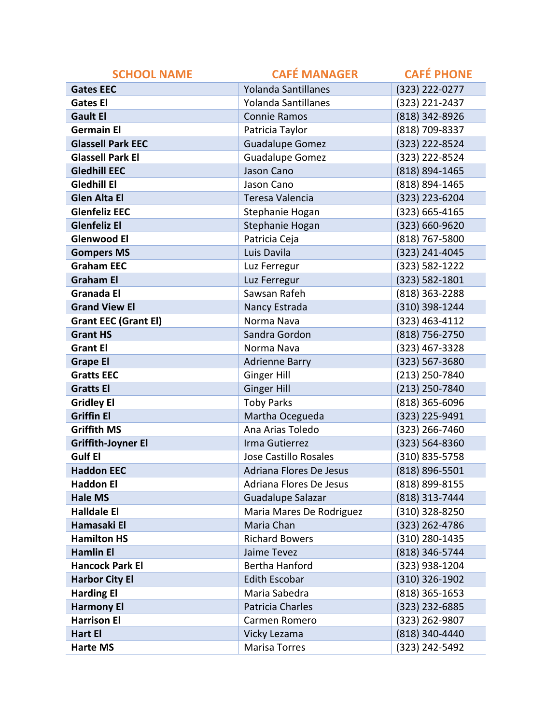| <b>SCHOOL NAME</b>          | <b>CAFÉ MANAGER</b>          | <b>CAFÉ PHONE</b> |
|-----------------------------|------------------------------|-------------------|
| <b>Gates EEC</b>            | Yolanda Santillanes          | (323) 222-0277    |
| <b>Gates El</b>             | Yolanda Santillanes          | (323) 221-2437    |
| <b>Gault El</b>             | <b>Connie Ramos</b>          | (818) 342-8926    |
| <b>Germain El</b>           | Patricia Taylor              | (818) 709-8337    |
| <b>Glassell Park EEC</b>    | <b>Guadalupe Gomez</b>       | (323) 222-8524    |
| <b>Glassell Park El</b>     | <b>Guadalupe Gomez</b>       | (323) 222-8524    |
| <b>Gledhill EEC</b>         | Jason Cano                   | (818) 894-1465    |
| Gledhill El                 | Jason Cano                   | (818) 894-1465    |
| <b>Glen Alta El</b>         | Teresa Valencia              | (323) 223-6204    |
| <b>Glenfeliz EEC</b>        | Stephanie Hogan              | (323) 665-4165    |
| <b>Glenfeliz El</b>         | Stephanie Hogan              | (323) 660-9620    |
| <b>Glenwood El</b>          | Patricia Ceja                | (818) 767-5800    |
| <b>Gompers MS</b>           | Luis Davila                  | (323) 241-4045    |
| <b>Graham EEC</b>           | Luz Ferregur                 | (323) 582-1222    |
| <b>Graham El</b>            | Luz Ferregur                 | (323) 582-1801    |
| <b>Granada El</b>           | Sawsan Rafeh                 | (818) 363-2288    |
| <b>Grand View El</b>        | Nancy Estrada                | (310) 398-1244    |
| <b>Grant EEC (Grant El)</b> | Norma Nava                   | (323) 463-4112    |
| <b>Grant HS</b>             | Sandra Gordon                | (818) 756-2750    |
| <b>Grant El</b>             | Norma Nava                   | (323) 467-3328    |
| <b>Grape El</b>             | <b>Adrienne Barry</b>        | (323) 567-3680    |
| <b>Gratts EEC</b>           | Ginger Hill                  | (213) 250-7840    |
| <b>Gratts El</b>            | <b>Ginger Hill</b>           | (213) 250-7840    |
| <b>Gridley El</b>           | <b>Toby Parks</b>            | (818) 365-6096    |
| <b>Griffin El</b>           | Martha Ocegueda              | (323) 225-9491    |
| <b>Griffith MS</b>          | Ana Arias Toledo             | (323) 266-7460    |
| <b>Griffith-Joyner El</b>   | Irma Gutierrez               | (323) 564-8360    |
| <b>Gulf El</b>              | <b>Jose Castillo Rosales</b> | $(310)$ 835-5758  |
| <b>Haddon EEC</b>           | Adriana Flores De Jesus      | (818) 896-5501    |
| <b>Haddon El</b>            | Adriana Flores De Jesus      | (818) 899-8155    |
| <b>Hale MS</b>              | Guadalupe Salazar            | (818) 313-7444    |
| <b>Halldale El</b>          | Maria Mares De Rodriguez     | (310) 328-8250    |
| Hamasaki El                 | Maria Chan                   | (323) 262-4786    |
| <b>Hamilton HS</b>          | <b>Richard Bowers</b>        | (310) 280-1435    |
| <b>Hamlin El</b>            | Jaime Tevez                  | (818) 346-5744    |
| <b>Hancock Park El</b>      | Bertha Hanford               | (323) 938-1204    |
| <b>Harbor City El</b>       | <b>Edith Escobar</b>         | (310) 326-1902    |
| <b>Harding El</b>           | Maria Sabedra                | $(818)$ 365-1653  |
| <b>Harmony El</b>           | Patricia Charles             | (323) 232-6885    |
| <b>Harrison El</b>          | Carmen Romero                | (323) 262-9807    |
| <b>Hart El</b>              | Vicky Lezama                 | (818) 340-4440    |
| <b>Harte MS</b>             | Marisa Torres                | (323) 242-5492    |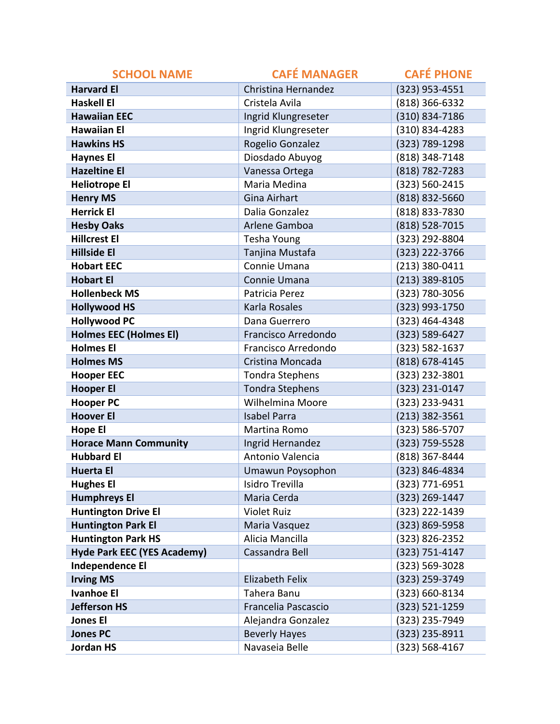| <b>SCHOOL NAME</b>                 | <b>CAFÉ MANAGER</b>    | <b>CAFÉ PHONE</b> |
|------------------------------------|------------------------|-------------------|
| <b>Harvard El</b>                  | Christina Hernandez    | (323) 953-4551    |
| <b>Haskell El</b>                  | Cristela Avila         | (818) 366-6332    |
| <b>Hawaiian EEC</b>                | Ingrid Klungreseter    | (310) 834-7186    |
| <b>Hawaiian El</b>                 | Ingrid Klungreseter    | (310) 834-4283    |
| <b>Hawkins HS</b>                  | Rogelio Gonzalez       | (323) 789-1298    |
| <b>Haynes El</b>                   | Diosdado Abuyog        | (818) 348-7148    |
| <b>Hazeltine El</b>                | Vanessa Ortega         | (818) 782-7283    |
| <b>Heliotrope El</b>               | Maria Medina           | (323) 560-2415    |
| <b>Henry MS</b>                    | Gina Airhart           | (818) 832-5660    |
| <b>Herrick El</b>                  | Dalia Gonzalez         | (818) 833-7830    |
| <b>Hesby Oaks</b>                  | Arlene Gamboa          | (818) 528-7015    |
| <b>Hillcrest El</b>                | Tesha Young            | (323) 292-8804    |
| <b>Hillside El</b>                 | Tanjina Mustafa        | (323) 222-3766    |
| <b>Hobart EEC</b>                  | Connie Umana           | (213) 380-0411    |
| <b>Hobart El</b>                   | Connie Umana           | (213) 389-8105    |
| <b>Hollenbeck MS</b>               | Patricia Perez         | (323) 780-3056    |
| <b>Hollywood HS</b>                | Karla Rosales          | (323) 993-1750    |
| <b>Hollywood PC</b>                | Dana Guerrero          | (323) 464-4348    |
| <b>Holmes EEC (Holmes EI)</b>      | Francisco Arredondo    | (323) 589-6427    |
| <b>Holmes El</b>                   | Francisco Arredondo    | (323) 582-1637    |
| <b>Holmes MS</b>                   | Cristina Moncada       | (818) 678-4145    |
| <b>Hooper EEC</b>                  | <b>Tondra Stephens</b> | (323) 232-3801    |
| <b>Hooper El</b>                   | <b>Tondra Stephens</b> | (323) 231-0147    |
| <b>Hooper PC</b>                   | Wilhelmina Moore       | (323) 233-9431    |
| <b>Hoover El</b>                   | <b>Isabel Parra</b>    | $(213)$ 382-3561  |
| <b>Hope El</b>                     | Martina Romo           | (323) 586-5707    |
| <b>Horace Mann Community</b>       | Ingrid Hernandez       | (323) 759-5528    |
| <b>Hubbard El</b>                  | Antonio Valencia       | (818) 367-8444    |
| <b>Huerta El</b>                   | Umawun Poysophon       | (323) 846-4834    |
| <b>Hughes El</b>                   | Isidro Trevilla        | (323) 771-6951    |
| <b>Humphreys El</b>                | Maria Cerda            | (323) 269-1447    |
| <b>Huntington Drive El</b>         | <b>Violet Ruiz</b>     | (323) 222-1439    |
| <b>Huntington Park El</b>          | Maria Vasquez          | (323) 869-5958    |
| <b>Huntington Park HS</b>          | Alicia Mancilla        | (323) 826-2352    |
| <b>Hyde Park EEC (YES Academy)</b> | Cassandra Bell         | (323) 751-4147    |
| <b>Independence El</b>             |                        | (323) 569-3028    |
| <b>Irving MS</b>                   | <b>Elizabeth Felix</b> | (323) 259-3749    |
| <b>Ivanhoe El</b>                  | Tahera Banu            | (323) 660-8134    |
| <b>Jefferson HS</b>                | Francelia Pascascio    | (323) 521-1259    |
| <b>Jones El</b>                    | Alejandra Gonzalez     | (323) 235-7949    |
| <b>Jones PC</b>                    | <b>Beverly Hayes</b>   | (323) 235-8911    |
| <b>Jordan HS</b>                   | Navaseia Belle         | (323) 568-4167    |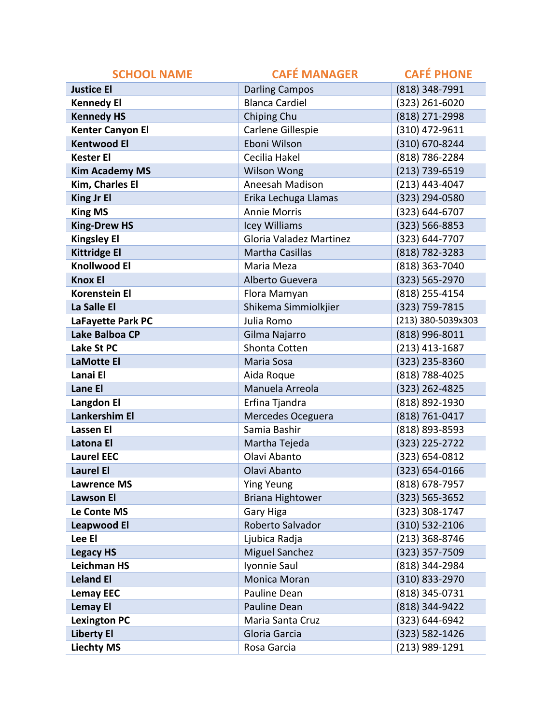| <b>SCHOOL NAME</b>      | <b>CAFÉ MANAGER</b>            | <b>CAFÉ PHONE</b>  |
|-------------------------|--------------------------------|--------------------|
| <b>Justice El</b>       | <b>Darling Campos</b>          | (818) 348-7991     |
| <b>Kennedy El</b>       | <b>Blanca Cardiel</b>          | (323) 261-6020     |
| <b>Kennedy HS</b>       | Chiping Chu                    | (818) 271-2998     |
| <b>Kenter Canyon El</b> | Carlene Gillespie              | (310) 472-9611     |
| <b>Kentwood El</b>      | Eboni Wilson                   | (310) 670-8244     |
| <b>Kester El</b>        | Cecilia Hakel                  | (818) 786-2284     |
| <b>Kim Academy MS</b>   | <b>Wilson Wong</b>             | (213) 739-6519     |
| Kim, Charles El         | Aneesah Madison                | (213) 443-4047     |
| <b>King Jr El</b>       | Erika Lechuga Llamas           | (323) 294-0580     |
| <b>King MS</b>          | <b>Annie Morris</b>            | (323) 644-6707     |
| <b>King-Drew HS</b>     | Icey Williams                  | (323) 566-8853     |
| <b>Kingsley El</b>      | <b>Gloria Valadez Martinez</b> | (323) 644-7707     |
| <b>Kittridge El</b>     | <b>Martha Casillas</b>         | (818) 782-3283     |
| <b>Knollwood El</b>     | Maria Meza                     | (818) 363-7040     |
| <b>Knox El</b>          | Alberto Guevera                | (323) 565-2970     |
| <b>Korenstein El</b>    | Flora Mamyan                   | (818) 255-4154     |
| La Salle El             | Shikema Simmiolkjier           | (323) 759-7815     |
| LaFayette Park PC       | Julia Romo                     | (213) 380-5039x303 |
| Lake Balboa CP          | Gilma Najarro                  | (818) 996-8011     |
| Lake St PC              | Shonta Cotten                  | (213) 413-1687     |
| <b>LaMotte El</b>       | Maria Sosa                     | (323) 235-8360     |
| Lanai El                | Aida Roque                     | (818) 788-4025     |
| Lane El                 | Manuela Arreola                | (323) 262-4825     |
| <b>Langdon El</b>       | Erfina Tjandra                 | (818) 892-1930     |
| Lankershim El           | Mercedes Oceguera              | (818) 761-0417     |
| <b>Lassen El</b>        | Samia Bashir                   | (818) 893-8593     |
| Latona El               | Martha Tejeda                  | (323) 225-2722     |
| <b>Laurel EEC</b>       | Olavi Abanto                   | (323) 654-0812     |
| <b>Laurel El</b>        | Olavi Abanto                   | (323) 654-0166     |
| <b>Lawrence MS</b>      | <b>Ying Yeung</b>              | $(818)$ 678-7957   |
| <b>Lawson El</b>        | <b>Briana Hightower</b>        | (323) 565-3652     |
| Le Conte MS             | Gary Higa                      | (323) 308-1747     |
| <b>Leapwood El</b>      | Roberto Salvador               | (310) 532-2106     |
| Lee El                  | Ljubica Radja                  | (213) 368-8746     |
| <b>Legacy HS</b>        | <b>Miguel Sanchez</b>          | $(323)$ 357-7509   |
| <b>Leichman HS</b>      | Iyonnie Saul                   | (818) 344-2984     |
| <b>Leland El</b>        | Monica Moran                   | (310) 833-2970     |
| <b>Lemay EEC</b>        | Pauline Dean                   | (818) 345-0731     |
| <b>Lemay El</b>         | Pauline Dean                   | (818) 344-9422     |
| <b>Lexington PC</b>     | Maria Santa Cruz               | (323) 644-6942     |
| <b>Liberty El</b>       | Gloria Garcia                  | (323) 582-1426     |
| <b>Liechty MS</b>       | Rosa Garcia                    | (213) 989-1291     |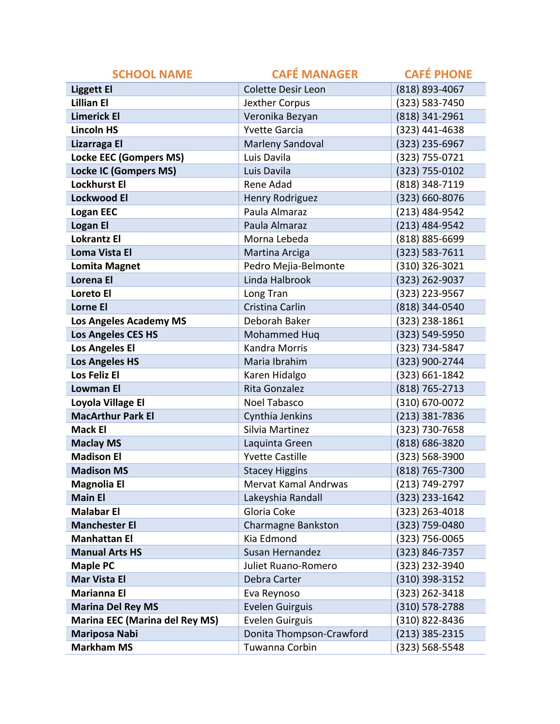| <b>SCHOOL NAME</b>                    | <b>CAFÉ MANAGER</b>         | <b>CAFÉ PHONE</b>  |
|---------------------------------------|-----------------------------|--------------------|
| <b>Liggett El</b>                     | <b>Colette Desir Leon</b>   | (818) 893-4067     |
| <b>Lillian El</b>                     | Jexther Corpus              | (323) 583-7450     |
| <b>Limerick El</b>                    | Veronika Bezyan             | (818) 341-2961     |
| <b>Lincoln HS</b>                     | <b>Yvette Garcia</b>        | (323) 441-4638     |
| Lizarraga El                          | Marleny Sandoval            | (323) 235-6967     |
| <b>Locke EEC (Gompers MS)</b>         | Luis Davila                 | (323) 755-0721     |
| <b>Locke IC (Gompers MS)</b>          | Luis Davila                 | (323) 755-0102     |
| <b>Lockhurst El</b>                   | Rene Adad                   | (818) 348-7119     |
| <b>Lockwood El</b>                    | <b>Henry Rodriguez</b>      | (323) 660-8076     |
| <b>Logan EEC</b>                      | Paula Almaraz               | (213) 484-9542     |
| <b>Logan El</b>                       | Paula Almaraz               | (213) 484-9542     |
| <b>Lokrantz El</b>                    | Morna Lebeda                | (818) 885-6699     |
| <b>Loma Vista El</b>                  | Martina Arciga              | $(323) 583 - 7611$ |
| <b>Lomita Magnet</b>                  | Pedro Mejia-Belmonte        | (310) 326-3021     |
| Lorena El                             | Linda Halbrook              | (323) 262-9037     |
| Loreto El                             | Long Tran                   | (323) 223-9567     |
| <b>Lorne El</b>                       | Cristina Carlin             | (818) 344-0540     |
| <b>Los Angeles Academy MS</b>         | Deborah Baker               | (323) 238-1861     |
| <b>Los Angeles CES HS</b>             | Mohammed Hug                | (323) 549-5950     |
| <b>Los Angeles El</b>                 | <b>Kandra Morris</b>        | (323) 734-5847     |
| <b>Los Angeles HS</b>                 | Maria Ibrahim               | (323) 900-2744     |
| Los Feliz El                          | Karen Hidalgo               | (323) 661-1842     |
| <b>Lowman El</b>                      | Rita Gonzalez               | (818) 765-2713     |
| Loyola Village El                     | Noel Tabasco                | (310) 670-0072     |
| <b>MacArthur Park El</b>              | Cynthia Jenkins             | (213) 381-7836     |
| <b>Mack El</b>                        | Silvia Martinez             | (323) 730-7658     |
| <b>Maclay MS</b>                      | Laquinta Green              | (818) 686-3820     |
| <b>Madison El</b>                     | <b>Yvette Castille</b>      | (323) 568-3900     |
| <b>Madison MS</b>                     | <b>Stacey Higgins</b>       | (818) 765-7300     |
| <b>Magnolia El</b>                    | <b>Mervat Kamal Andrwas</b> | (213) 749-2797     |
| <b>Main El</b>                        | Lakeyshia Randall           | (323) 233-1642     |
| <b>Malabar El</b>                     | Gloria Coke                 | (323) 263-4018     |
| <b>Manchester El</b>                  | <b>Charmagne Bankston</b>   | (323) 759-0480     |
| <b>Manhattan El</b>                   | Kia Edmond                  | (323) 756-0065     |
| <b>Manual Arts HS</b>                 | Susan Hernandez             | (323) 846-7357     |
| <b>Maple PC</b>                       | Juliet Ruano-Romero         | (323) 232-3940     |
| <b>Mar Vista El</b>                   | Debra Carter                | (310) 398-3152     |
| <b>Marianna El</b>                    | Eva Reynoso                 | (323) 262-3418     |
| <b>Marina Del Rey MS</b>              | <b>Evelen Guirguis</b>      | (310) 578-2788     |
| <b>Marina EEC (Marina del Rey MS)</b> | <b>Evelen Guirguis</b>      | (310) 822-8436     |
| <b>Mariposa Nabi</b>                  | Donita Thompson-Crawford    | $(213)$ 385-2315   |
| <b>Markham MS</b>                     | Tuwanna Corbin              | (323) 568-5548     |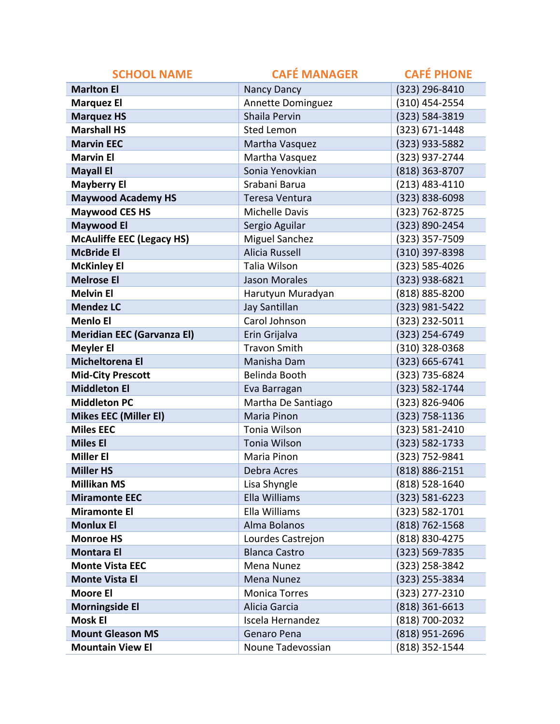| <b>SCHOOL NAME</b>                | <b>CAFÉ MANAGER</b>      | <b>CAFÉ PHONE</b>  |
|-----------------------------------|--------------------------|--------------------|
| <b>Marlton El</b>                 | Nancy Dancy              | (323) 296-8410     |
| <b>Marquez El</b>                 | <b>Annette Dominguez</b> | (310) 454-2554     |
| <b>Marquez HS</b>                 | Shaila Pervin            | (323) 584-3819     |
| <b>Marshall HS</b>                | <b>Sted Lemon</b>        | (323) 671-1448     |
| <b>Marvin EEC</b>                 | Martha Vasquez           | (323) 933-5882     |
| <b>Marvin El</b>                  | Martha Vasquez           | (323) 937-2744     |
| <b>Mayall El</b>                  | Sonia Yenovkian          | (818) 363-8707     |
| <b>Mayberry El</b>                | Srabani Barua            | $(213)$ 483-4110   |
| <b>Maywood Academy HS</b>         | Teresa Ventura           | (323) 838-6098     |
| <b>Maywood CES HS</b>             | <b>Michelle Davis</b>    | (323) 762-8725     |
| <b>Maywood El</b>                 | Sergio Aguilar           | (323) 890-2454     |
| <b>McAuliffe EEC (Legacy HS)</b>  | <b>Miguel Sanchez</b>    | (323) 357-7509     |
| <b>McBride El</b>                 | <b>Alicia Russell</b>    | (310) 397-8398     |
| <b>McKinley El</b>                | Talia Wilson             | (323) 585-4026     |
| <b>Melrose El</b>                 | <b>Jason Morales</b>     | (323) 938-6821     |
| <b>Melvin El</b>                  | Harutyun Muradyan        | (818) 885-8200     |
| <b>Mendez LC</b>                  | Jay Santillan            | (323) 981-5422     |
| <b>Menlo El</b>                   | Carol Johnson            | (323) 232-5011     |
| <b>Meridian EEC (Garvanza EI)</b> | Erin Grijalva            | (323) 254-6749     |
| <b>Meyler El</b>                  | <b>Travon Smith</b>      | (310) 328-0368     |
| Micheltorena El                   | Manisha Dam              | (323) 665-6741     |
| <b>Mid-City Prescott</b>          | Belinda Booth            | (323) 735-6824     |
| <b>Middleton El</b>               | Eva Barragan             | (323) 582-1744     |
| <b>Middleton PC</b>               | Martha De Santiago       | (323) 826-9406     |
| <b>Mikes EEC (Miller El)</b>      | Maria Pinon              | (323) 758-1136     |
| <b>Miles EEC</b>                  | Tonia Wilson             | (323) 581-2410     |
| <b>Miles El</b>                   | Tonia Wilson             | (323) 582-1733     |
| <b>Miller El</b>                  | Maria Pinon              | (323) 752-9841     |
| <b>Miller HS</b>                  | Debra Acres              | (818) 886-2151     |
| <b>Millikan MS</b>                | Lisa Shyngle             | (818) 528-1640     |
| <b>Miramonte EEC</b>              | Ella Williams            | (323) 581-6223     |
| <b>Miramonte El</b>               | Ella Williams            | $(323) 582 - 1701$ |
| <b>Monlux El</b>                  | Alma Bolanos             | (818) 762-1568     |
| <b>Monroe HS</b>                  | Lourdes Castrejon        | (818) 830-4275     |
| <b>Montara El</b>                 | <b>Blanca Castro</b>     | (323) 569-7835     |
| <b>Monte Vista EEC</b>            | Mena Nunez               | (323) 258-3842     |
| <b>Monte Vista El</b>             | Mena Nunez               | (323) 255-3834     |
| <b>Moore El</b>                   | <b>Monica Torres</b>     | (323) 277-2310     |
| <b>Morningside El</b>             | Alicia Garcia            | $(818)$ 361-6613   |
| <b>Mosk El</b>                    | Iscela Hernandez         | (818) 700-2032     |
| <b>Mount Gleason MS</b>           | Genaro Pena              | (818) 951-2696     |
| <b>Mountain View El</b>           | Noune Tadevossian        | (818) 352-1544     |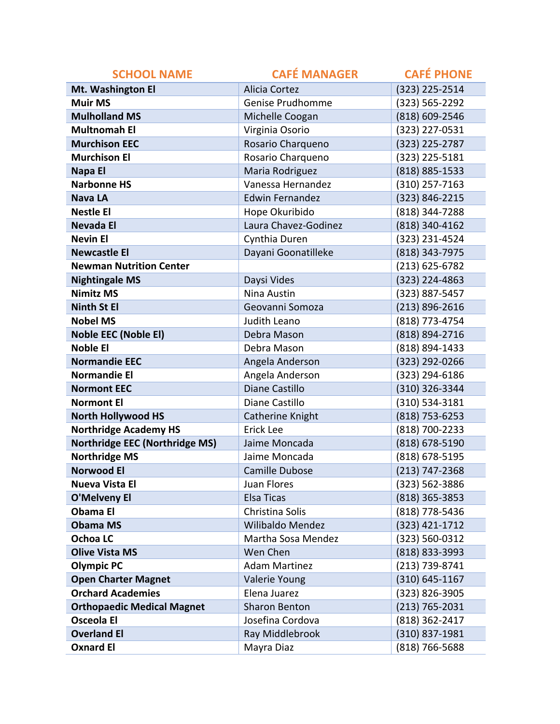| <b>SCHOOL NAME</b>                | <b>CAFÉ MANAGER</b>    | <b>CAFÉ PHONE</b>  |
|-----------------------------------|------------------------|--------------------|
| Mt. Washington El                 | <b>Alicia Cortez</b>   | (323) 225-2514     |
| <b>Muir MS</b>                    | Genise Prudhomme       | (323) 565-2292     |
| <b>Mulholland MS</b>              | Michelle Coogan        | (818) 609-2546     |
| <b>Multnomah El</b>               | Virginia Osorio        | (323) 227-0531     |
| <b>Murchison EEC</b>              | Rosario Charqueno      | (323) 225-2787     |
| <b>Murchison El</b>               | Rosario Charqueno      | (323) 225-5181     |
| Napa El                           | Maria Rodriguez        | (818) 885-1533     |
| <b>Narbonne HS</b>                | Vanessa Hernandez      | (310) 257-7163     |
| <b>Nava LA</b>                    | <b>Edwin Fernandez</b> | (323) 846-2215     |
| <b>Nestle El</b>                  | Hope Okuribido         | (818) 344-7288     |
| <b>Nevada El</b>                  | Laura Chavez-Godinez   | (818) 340-4162     |
| <b>Nevin El</b>                   | Cynthia Duren          | (323) 231-4524     |
| <b>Newcastle El</b>               | Dayani Goonatilleke    | (818) 343-7975     |
| <b>Newman Nutrition Center</b>    |                        | $(213) 625 - 6782$ |
| <b>Nightingale MS</b>             | Daysi Vides            | (323) 224-4863     |
| <b>Nimitz MS</b>                  | Nina Austin            | (323) 887-5457     |
| <b>Ninth St El</b>                | Geovanni Somoza        | $(213) 896 - 2616$ |
| <b>Nobel MS</b>                   | Judith Leano           | (818) 773-4754     |
| <b>Noble EEC (Noble EI)</b>       | Debra Mason            | (818) 894-2716     |
| <b>Noble El</b>                   | Debra Mason            | (818) 894-1433     |
| <b>Normandie EEC</b>              | Angela Anderson        | (323) 292-0266     |
| <b>Normandie El</b>               | Angela Anderson        | (323) 294-6186     |
| <b>Normont EEC</b>                | Diane Castillo         | (310) 326-3344     |
| <b>Normont El</b>                 | Diane Castillo         | (310) 534-3181     |
| <b>North Hollywood HS</b>         | Catherine Knight       | (818) 753-6253     |
| <b>Northridge Academy HS</b>      | Erick Lee              | (818) 700-2233     |
| Northridge EEC (Northridge MS)    | Jaime Moncada          | (818) 678-5190     |
| <b>Northridge MS</b>              | Jaime Moncada          | (818) 678-5195     |
| <b>Norwood El</b>                 | <b>Camille Dubose</b>  | (213) 747-2368     |
| <b>Nueva Vista El</b>             | Juan Flores            | (323) 562-3886     |
| <b>O'Melveny El</b>               | Elsa Ticas             | (818) 365-3853     |
| <b>Obama El</b>                   | Christina Solis        | (818) 778-5436     |
| <b>Obama MS</b>                   | Wilibaldo Mendez       | (323) 421-1712     |
| <b>Ochoa LC</b>                   | Martha Sosa Mendez     | (323) 560-0312     |
| <b>Olive Vista MS</b>             | Wen Chen               | (818) 833-3993     |
| <b>Olympic PC</b>                 | <b>Adam Martinez</b>   | (213) 739-8741     |
| <b>Open Charter Magnet</b>        | Valerie Young          | $(310) 645 - 1167$ |
| <b>Orchard Academies</b>          | Elena Juarez           | (323) 826-3905     |
| <b>Orthopaedic Medical Magnet</b> | <b>Sharon Benton</b>   | $(213) 765 - 2031$ |
| <b>Osceola El</b>                 | Josefina Cordova       | (818) 362-2417     |
| <b>Overland El</b>                | Ray Middlebrook        | (310) 837-1981     |
| <b>Oxnard El</b>                  | Mayra Diaz             | (818) 766-5688     |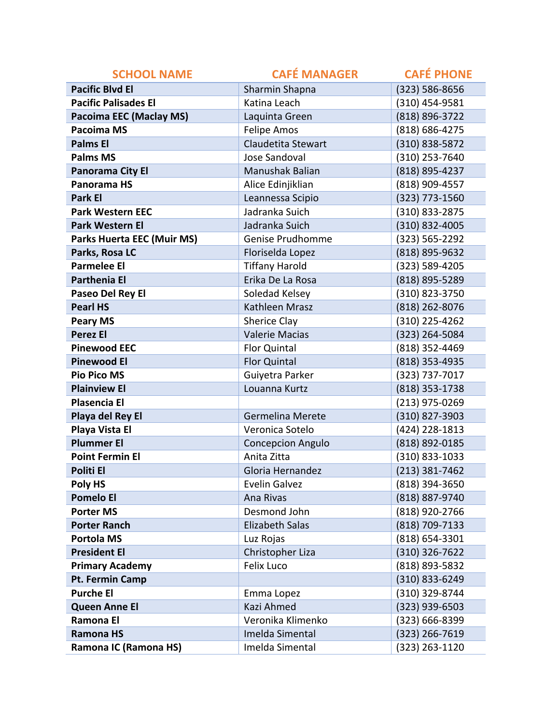| <b>SCHOOL NAME</b>                | <b>CAFÉ MANAGER</b>      | <b>CAFÉ PHONE</b> |
|-----------------------------------|--------------------------|-------------------|
| <b>Pacific Blvd El</b>            | Sharmin Shapna           | (323) 586-8656    |
| <b>Pacific Palisades El</b>       | Katina Leach             | (310) 454-9581    |
| <b>Pacoima EEC (Maclay MS)</b>    | Laquinta Green           | (818) 896-3722    |
| <b>Pacoima MS</b>                 | Felipe Amos              | (818) 686-4275    |
| <b>Palms El</b>                   | Claudetita Stewart       | (310) 838-5872    |
| <b>Palms MS</b>                   | Jose Sandoval            | (310) 253-7640    |
| Panorama City El                  | Manushak Balian          | (818) 895-4237    |
| <b>Panorama HS</b>                | Alice Edinjiklian        | (818) 909-4557    |
| Park El                           | Leannessa Scipio         | (323) 773-1560    |
| <b>Park Western EEC</b>           | Jadranka Suich           | (310) 833-2875    |
| <b>Park Western El</b>            | Jadranka Suich           | (310) 832-4005    |
| <b>Parks Huerta EEC (Muir MS)</b> | Genise Prudhomme         | (323) 565-2292    |
| Parks, Rosa LC                    | Floriselda Lopez         | (818) 895-9632    |
| <b>Parmelee El</b>                | <b>Tiffany Harold</b>    | (323) 589-4205    |
| <b>Parthenia El</b>               | Erika De La Rosa         | (818) 895-5289    |
| Paseo Del Rey El                  | Soledad Kelsey           | (310) 823-3750    |
| <b>Pearl HS</b>                   | Kathleen Mrasz           | (818) 262-8076    |
| <b>Peary MS</b>                   | Sherice Clay             | (310) 225-4262    |
| <b>Perez El</b>                   | <b>Valerie Macias</b>    | (323) 264-5084    |
| <b>Pinewood EEC</b>               | Flor Quintal             | (818) 352-4469    |
| <b>Pinewood El</b>                | <b>Flor Quintal</b>      | (818) 353-4935    |
| <b>Pio Pico MS</b>                | Guiyetra Parker          | (323) 737-7017    |
| <b>Plainview El</b>               | Louanna Kurtz            | (818) 353-1738    |
| <b>Plasencia El</b>               |                          | (213) 975-0269    |
| Playa del Rey El                  | Germelina Merete         | (310) 827-3903    |
| Playa Vista El                    | Veronica Sotelo          | (424) 228-1813    |
| <b>Plummer El</b>                 | <b>Concepcion Angulo</b> | (818) 892-0185    |
| <b>Point Fermin El</b>            | Anita Zitta              | (310) 833-1033    |
| Politi El                         | Gloria Hernandez         | (213) 381-7462    |
| Poly HS                           | <b>Evelin Galvez</b>     | (818) 394-3650    |
| <b>Pomelo El</b>                  | Ana Rivas                | (818) 887-9740    |
| <b>Porter MS</b>                  | Desmond John             | (818) 920-2766    |
| <b>Porter Ranch</b>               | <b>Elizabeth Salas</b>   | (818) 709-7133    |
| <b>Portola MS</b>                 | Luz Rojas                | (818) 654-3301    |
| <b>President El</b>               | Christopher Liza         | (310) 326-7622    |
| <b>Primary Academy</b>            | <b>Felix Luco</b>        | (818) 893-5832    |
| Pt. Fermin Camp                   |                          | (310) 833-6249    |
| <b>Purche El</b>                  | Emma Lopez               | (310) 329-8744    |
| <b>Queen Anne El</b>              | Kazi Ahmed               | (323) 939-6503    |
| Ramona El                         | Veronika Klimenko        | (323) 666-8399    |
| <b>Ramona HS</b>                  | Imelda Simental          | (323) 266-7619    |
| Ramona IC (Ramona HS)             | Imelda Simental          | (323) 263-1120    |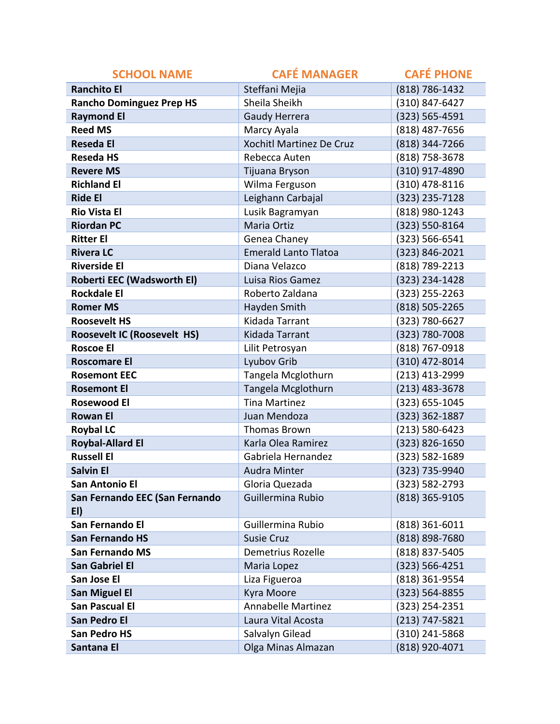| <b>SCHOOL NAME</b>                    | <b>CAFÉ MANAGER</b>         | <b>CAFÉ PHONE</b>  |
|---------------------------------------|-----------------------------|--------------------|
| <b>Ranchito El</b>                    | Steffani Mejia              | (818) 786-1432     |
| <b>Rancho Dominguez Prep HS</b>       | Sheila Sheikh               | (310) 847-6427     |
| <b>Raymond El</b>                     | <b>Gaudy Herrera</b>        | (323) 565-4591     |
| <b>Reed MS</b>                        | Marcy Ayala                 | (818) 487-7656     |
| <b>Reseda El</b>                      | Xochitl Martinez De Cruz    | (818) 344-7266     |
| <b>Reseda HS</b>                      | Rebecca Auten               | (818) 758-3678     |
| <b>Revere MS</b>                      | Tijuana Bryson              | (310) 917-4890     |
| <b>Richland El</b>                    | Wilma Ferguson              | (310) 478-8116     |
| <b>Ride El</b>                        | Leighann Carbajal           | (323) 235-7128     |
| <b>Rio Vista El</b>                   | Lusik Bagramyan             | (818) 980-1243     |
| <b>Riordan PC</b>                     | Maria Ortiz                 | (323) 550-8164     |
| <b>Ritter El</b>                      | Genea Chaney                | (323) 566-6541     |
| <b>Rivera LC</b>                      | <b>Emerald Lanto Tlatoa</b> | (323) 846-2021     |
| <b>Riverside El</b>                   | Diana Velazco               | (818) 789-2213     |
| Roberti EEC (Wadsworth EI)            | Luisa Rios Gamez            | (323) 234-1428     |
| <b>Rockdale El</b>                    | Roberto Zaldana             | $(323)$ 255-2263   |
| <b>Romer MS</b>                       | Hayden Smith                | (818) 505-2265     |
| <b>Roosevelt HS</b>                   | Kidada Tarrant              | (323) 780-6627     |
| <b>Roosevelt IC (Roosevelt HS)</b>    | Kidada Tarrant              | (323) 780-7008     |
| <b>Roscoe El</b>                      | Lilit Petrosyan             | (818) 767-0918     |
| <b>Roscomare El</b>                   | Lyubov Grib                 | (310) 472-8014     |
| <b>Rosemont EEC</b>                   | Tangela Mcglothurn          | (213) 413-2999     |
| <b>Rosemont El</b>                    | Tangela Mcglothurn          | $(213)$ 483-3678   |
| <b>Rosewood El</b>                    | <b>Tina Martinez</b>        | (323) 655-1045     |
| <b>Rowan El</b>                       | Juan Mendoza                | (323) 362-1887     |
| <b>Roybal LC</b>                      | <b>Thomas Brown</b>         | $(213) 580 - 6423$ |
| <b>Roybal-Allard El</b>               | Karla Olea Ramirez          | (323) 826-1650     |
| <b>Russell El</b>                     | Gabriela Hernandez          | (323) 582-1689     |
| <b>Salvin El</b>                      | <b>Audra Minter</b>         | (323) 735-9940     |
| <b>San Antonio El</b>                 | Gloria Quezada              | (323) 582-2793     |
| San Fernando EEC (San Fernando<br>EI) | Guillermina Rubio           | (818) 365-9105     |
| San Fernando El                       | Guillermina Rubio           | $(818)$ 361-6011   |
| <b>San Fernando HS</b>                | <b>Susie Cruz</b>           | (818) 898-7680     |
| <b>San Fernando MS</b>                | Demetrius Rozelle           | (818) 837-5405     |
| <b>San Gabriel El</b>                 | Maria Lopez                 | $(323) 566 - 4251$ |
| San Jose El                           | Liza Figueroa               | (818) 361-9554     |
| <b>San Miguel El</b>                  | Kyra Moore                  | (323) 564-8855     |
| <b>San Pascual El</b>                 | <b>Annabelle Martinez</b>   | (323) 254-2351     |
| San Pedro El                          | Laura Vital Acosta          | $(213) 747 - 5821$ |
| <b>San Pedro HS</b>                   | Salvalyn Gilead             | (310) 241-5868     |
| Santana El                            | Olga Minas Almazan          | (818) 920-4071     |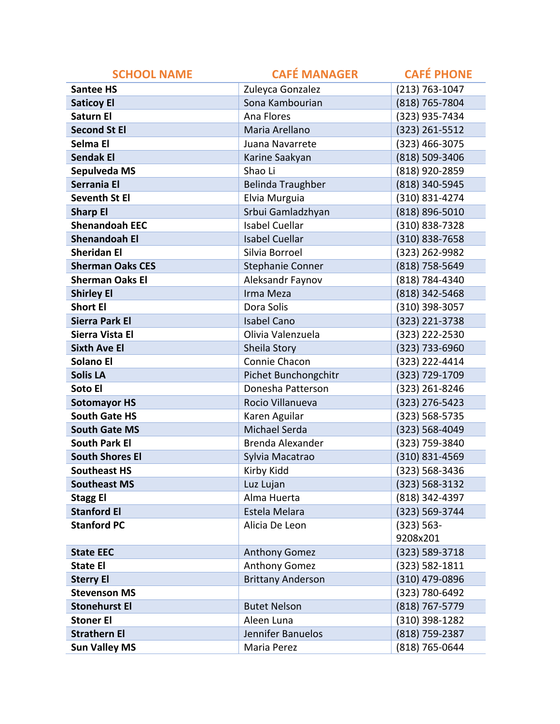| <b>SCHOOL NAME</b>      | <b>CAFÉ MANAGER</b>      | <b>CAFÉ PHONE</b>  |
|-------------------------|--------------------------|--------------------|
| <b>Santee HS</b>        | Zuleyca Gonzalez         | (213) 763-1047     |
| <b>Saticoy El</b>       | Sona Kambourian          | (818) 765-7804     |
| <b>Saturn El</b>        | Ana Flores               | (323) 935-7434     |
| <b>Second St El</b>     | Maria Arellano           | (323) 261-5512     |
| Selma El                | Juana Navarrete          | (323) 466-3075     |
| <b>Sendak El</b>        | Karine Saakyan           | (818) 509-3406     |
| Sepulveda MS            | Shao Li                  | (818) 920-2859     |
| Serrania El             | <b>Belinda Traughber</b> | (818) 340-5945     |
| <b>Seventh St El</b>    | Elvia Murguia            | (310) 831-4274     |
| <b>Sharp El</b>         | Srbui Gamladzhyan        | (818) 896-5010     |
| <b>Shenandoah EEC</b>   | <b>Isabel Cuellar</b>    | (310) 838-7328     |
| <b>Shenandoah El</b>    | <b>Isabel Cuellar</b>    | (310) 838-7658     |
| <b>Sheridan El</b>      | Silvia Borroel           | (323) 262-9982     |
| <b>Sherman Oaks CES</b> | <b>Stephanie Conner</b>  | (818) 758-5649     |
| <b>Sherman Oaks El</b>  | Aleksandr Faynov         | (818) 784-4340     |
| <b>Shirley El</b>       | Irma Meza                | (818) 342-5468     |
| <b>Short El</b>         | Dora Solis               | (310) 398-3057     |
| <b>Sierra Park El</b>   | <b>Isabel Cano</b>       | (323) 221-3738     |
| Sierra Vista El         | Olivia Valenzuela        | (323) 222-2530     |
| <b>Sixth Ave El</b>     | Sheila Story             | (323) 733-6960     |
| Solano El               | Connie Chacon            | (323) 222-4414     |
| <b>Solis LA</b>         | Pichet Bunchongchitr     | (323) 729-1709     |
| Soto El                 | Donesha Patterson        | (323) 261-8246     |
| <b>Sotomayor HS</b>     | Rocio Villanueva         | (323) 276-5423     |
| <b>South Gate HS</b>    | Karen Aguilar            | (323) 568-5735     |
| <b>South Gate MS</b>    | Michael Serda            | (323) 568-4049     |
| <b>South Park El</b>    | Brenda Alexander         | (323) 759-3840     |
| <b>South Shores El</b>  | Sylvia Macatrao          | (310) 831-4569     |
| <b>Southeast HS</b>     | Kirby Kidd               | (323) 568-3436     |
| <b>Southeast MS</b>     | Luz Lujan                | $(323) 568 - 3132$ |
| <b>Stagg El</b>         | Alma Huerta              | (818) 342-4397     |
| <b>Stanford El</b>      | Estela Melara            | (323) 569-3744     |
| <b>Stanford PC</b>      | Alicia De Leon           | $(323) 563 -$      |
|                         |                          | 9208x201           |
| <b>State EEC</b>        | <b>Anthony Gomez</b>     | (323) 589-3718     |
| <b>State El</b>         | <b>Anthony Gomez</b>     | $(323) 582 - 1811$ |
| <b>Sterry El</b>        | <b>Brittany Anderson</b> | (310) 479-0896     |
| <b>Stevenson MS</b>     |                          | (323) 780-6492     |
| <b>Stonehurst El</b>    | <b>Butet Nelson</b>      | (818) 767-5779     |
| <b>Stoner El</b>        | Aleen Luna               | (310) 398-1282     |
| <b>Strathern El</b>     | Jennifer Banuelos        | (818) 759-2387     |
| <b>Sun Valley MS</b>    | Maria Perez              | (818) 765-0644     |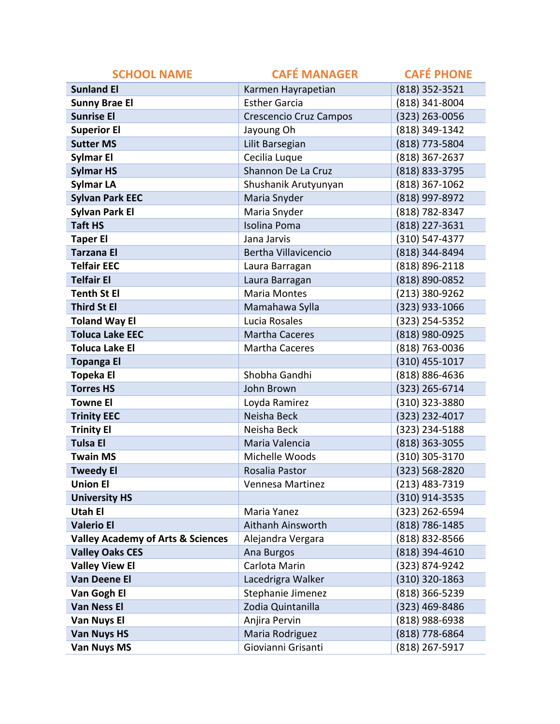| <b>SCHOOL NAME</b>                           | <b>CAFÉ MANAGER</b>           | <b>CAFÉ PHONE</b>  |
|----------------------------------------------|-------------------------------|--------------------|
| <b>Sunland El</b>                            | Karmen Hayrapetian            | (818) 352-3521     |
| <b>Sunny Brae El</b>                         | <b>Esther Garcia</b>          | (818) 341-8004     |
| <b>Sunrise El</b>                            | <b>Crescencio Cruz Campos</b> | (323) 263-0056     |
| <b>Superior El</b>                           | Jayoung Oh                    | (818) 349-1342     |
| <b>Sutter MS</b>                             | Lilit Barsegian               | (818) 773-5804     |
| Sylmar El                                    | Cecilia Luque                 | (818) 367-2637     |
| <b>Sylmar HS</b>                             | Shannon De La Cruz            | (818) 833-3795     |
| <b>Sylmar LA</b>                             | Shushanik Arutyunyan          | (818) 367-1062     |
| <b>Sylvan Park EEC</b>                       | Maria Snyder                  | (818) 997-8972     |
| <b>Sylvan Park El</b>                        | Maria Snyder                  | (818) 782-8347     |
| <b>Taft HS</b>                               | <b>Isolina Poma</b>           | (818) 227-3631     |
| <b>Taper El</b>                              | Jana Jarvis                   | $(310) 547 - 4377$ |
| <b>Tarzana El</b>                            | Bertha Villavicencio          | (818) 344-8494     |
| <b>Telfair EEC</b>                           | Laura Barragan                | (818) 896-2118     |
| <b>Telfair El</b>                            | Laura Barragan                | (818) 890-0852     |
| <b>Tenth St El</b>                           | <b>Maria Montes</b>           | (213) 380-9262     |
| <b>Third St El</b>                           | Mamahawa Sylla                | (323) 933-1066     |
| <b>Toland Way El</b>                         | Lucia Rosales                 | (323) 254-5352     |
| <b>Toluca Lake EEC</b>                       | <b>Martha Caceres</b>         | (818) 980-0925     |
| <b>Toluca Lake El</b>                        | Martha Caceres                | (818) 763-0036     |
| <b>Topanga El</b>                            |                               | $(310)$ 455-1017   |
| <b>Topeka El</b>                             | Shobha Gandhi                 | (818) 886-4636     |
| <b>Torres HS</b>                             | John Brown                    | (323) 265-6714     |
| <b>Towne El</b>                              | Loyda Ramirez                 | (310) 323-3880     |
| <b>Trinity EEC</b>                           | Neisha Beck                   | (323) 232-4017     |
| <b>Trinity El</b>                            | Neisha Beck                   | (323) 234-5188     |
| <b>Tulsa El</b>                              | Maria Valencia                | (818) 363-3055     |
| <b>Twain MS</b>                              | Michelle Woods                | (310) 305-3170     |
| <b>Tweedy El</b>                             | Rosalia Pastor                | (323) 568-2820     |
| <b>Union El</b>                              | Vennesa Martinez              | (213) 483-7319     |
| <b>University HS</b>                         |                               | (310) 914-3535     |
| <b>Utah El</b>                               | Maria Yanez                   | (323) 262-6594     |
| <b>Valerio El</b>                            | Aithanh Ainsworth             | (818) 786-1485     |
| <b>Valley Academy of Arts &amp; Sciences</b> | Alejandra Vergara             | (818) 832-8566     |
| <b>Valley Oaks CES</b>                       | Ana Burgos                    | (818) 394-4610     |
| <b>Valley View El</b>                        | Carlota Marin                 | (323) 874-9242     |
| Van Deene El                                 | Lacedrigra Walker             | $(310)$ 320-1863   |
| Van Gogh El                                  | Stephanie Jimenez             | (818) 366-5239     |
| <b>Van Ness El</b>                           | Zodia Quintanilla             | (323) 469-8486     |
| Van Nuys El                                  | Anjira Pervin                 | (818) 988-6938     |
| <b>Van Nuys HS</b>                           | Maria Rodriguez               | (818) 778-6864     |
| <b>Van Nuys MS</b>                           | Giovianni Grisanti            | (818) 267-5917     |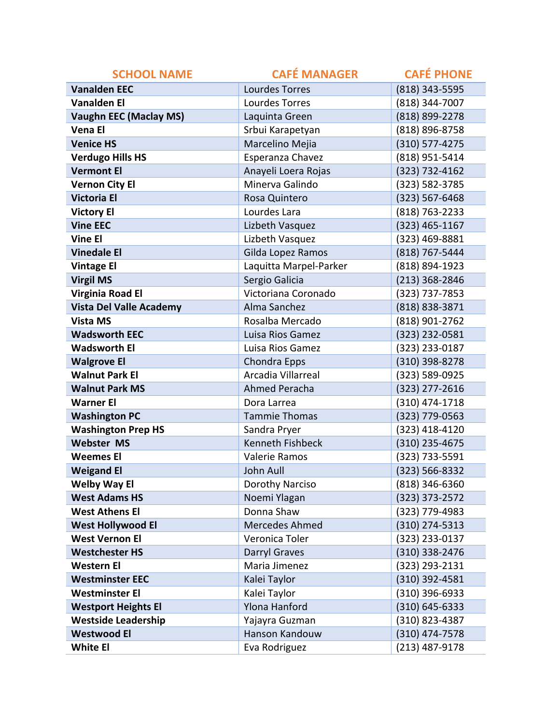| <b>SCHOOL NAME</b>             | <b>CAFÉ MANAGER</b>     | <b>CAFÉ PHONE</b>  |
|--------------------------------|-------------------------|--------------------|
| <b>Vanalden EEC</b>            | <b>Lourdes Torres</b>   | (818) 343-5595     |
| <b>Vanalden El</b>             | Lourdes Torres          | (818) 344-7007     |
| <b>Vaughn EEC (Maclay MS)</b>  | Laquinta Green          | (818) 899-2278     |
| <b>Vena El</b>                 | Srbui Karapetyan        | (818) 896-8758     |
| <b>Venice HS</b>               | Marcelino Mejia         | (310) 577-4275     |
| <b>Verdugo Hills HS</b>        | Esperanza Chavez        | (818) 951-5414     |
| <b>Vermont El</b>              | Anayeli Loera Rojas     | (323) 732-4162     |
| <b>Vernon City El</b>          | Minerva Galindo         | (323) 582-3785     |
| <b>Victoria El</b>             | Rosa Quintero           | $(323) 567 - 6468$ |
| <b>Victory El</b>              | Lourdes Lara            | (818) 763-2233     |
| <b>Vine EEC</b>                | Lizbeth Vasquez         | $(323)$ 465-1167   |
| <b>Vine El</b>                 | Lizbeth Vasquez         | (323) 469-8881     |
| <b>Vinedale El</b>             | Gilda Lopez Ramos       | (818) 767-5444     |
| <b>Vintage El</b>              | Laquitta Marpel-Parker  | (818) 894-1923     |
| <b>Virgil MS</b>               | Sergio Galicia          | (213) 368-2846     |
| <b>Virginia Road El</b>        | Victoriana Coronado     | (323) 737-7853     |
| <b>Vista Del Valle Academy</b> | Alma Sanchez            | (818) 838-3871     |
| <b>Vista MS</b>                | Rosalba Mercado         | (818) 901-2762     |
| <b>Wadsworth EEC</b>           | Luisa Rios Gamez        | (323) 232-0581     |
| <b>Wadsworth El</b>            | Luisa Rios Gamez        | (323) 233-0187     |
| <b>Walgrove El</b>             | Chondra Epps            | (310) 398-8278     |
| <b>Walnut Park El</b>          | Arcadia Villarreal      | (323) 589-0925     |
| <b>Walnut Park MS</b>          | Ahmed Peracha           | (323) 277-2616     |
| <b>Warner El</b>               | Dora Larrea             | (310) 474-1718     |
| <b>Washington PC</b>           | <b>Tammie Thomas</b>    | (323) 779-0563     |
| <b>Washington Prep HS</b>      | Sandra Pryer            | (323) 418-4120     |
| <b>Webster MS</b>              | <b>Kenneth Fishbeck</b> | (310) 235-4675     |
| <b>Weemes El</b>               | Valerie Ramos           | (323) 733-5591     |
| <b>Weigand El</b>              | John Aull               | (323) 566-8332     |
| <b>Welby Way El</b>            | Dorothy Narciso         | $(818)$ 346-6360   |
| <b>West Adams HS</b>           | Noemi Ylagan            | (323) 373-2572     |
| <b>West Athens El</b>          | Donna Shaw              | (323) 779-4983     |
| <b>West Hollywood El</b>       | Mercedes Ahmed          | $(310)$ 274-5313   |
| <b>West Vernon El</b>          | Veronica Toler          | (323) 233-0137     |
| <b>Westchester HS</b>          | Darryl Graves           | (310) 338-2476     |
| <b>Western El</b>              | Maria Jimenez           | (323) 293-2131     |
| <b>Westminster EEC</b>         | Kalei Taylor            | (310) 392-4581     |
| <b>Westminster El</b>          | Kalei Taylor            | $(310)$ 396-6933   |
| <b>Westport Heights El</b>     | <b>Ylona Hanford</b>    | $(310) 645 - 6333$ |
| <b>Westside Leadership</b>     | Yajayra Guzman          | (310) 823-4387     |
| <b>Westwood El</b>             | Hanson Kandouw          | (310) 474-7578     |
| <b>White El</b>                | Eva Rodriguez           | (213) 487-9178     |